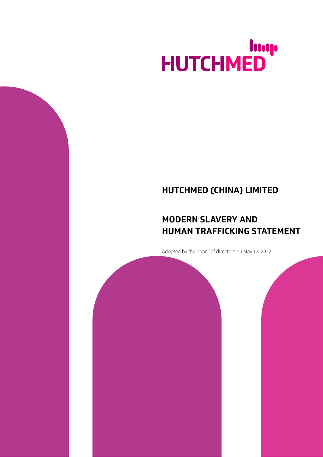## HUTCHMED

## **HUTCHMED (CHINA) LIMITED**

## **MODERN SLAVERY AND HUMAN TRAFFICKING STATEMENT**

Adopted by the board of directors on May 12, 2022